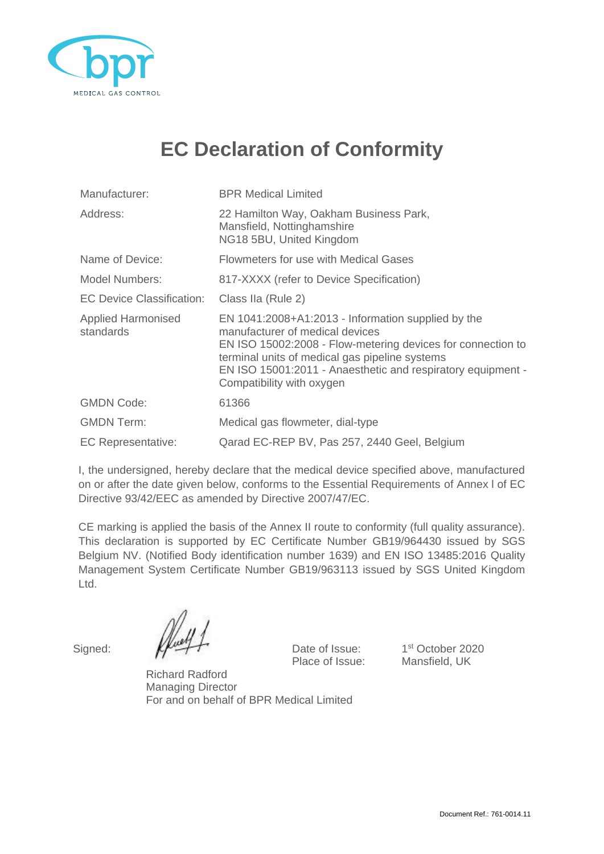

## **EC Declaration of Conformity**

| Manufacturer:                          | <b>BPR Medical Limited</b>                                                                                                                                                                                                                                                                         |  |
|----------------------------------------|----------------------------------------------------------------------------------------------------------------------------------------------------------------------------------------------------------------------------------------------------------------------------------------------------|--|
| Address:                               | 22 Hamilton Way, Oakham Business Park,<br>Mansfield, Nottinghamshire<br>NG18 5BU, United Kingdom                                                                                                                                                                                                   |  |
| Name of Device:                        | <b>Flowmeters for use with Medical Gases</b>                                                                                                                                                                                                                                                       |  |
| Model Numbers:                         | 817-XXXX (refer to Device Specification)                                                                                                                                                                                                                                                           |  |
| <b>EC Device Classification:</b>       | Class IIa (Rule 2)                                                                                                                                                                                                                                                                                 |  |
| <b>Applied Harmonised</b><br>standards | EN 1041:2008+A1:2013 - Information supplied by the<br>manufacturer of medical devices<br>EN ISO 15002:2008 - Flow-metering devices for connection to<br>terminal units of medical gas pipeline systems<br>EN ISO 15001:2011 - Anaesthetic and respiratory equipment -<br>Compatibility with oxygen |  |
| <b>GMDN Code:</b>                      | 61366                                                                                                                                                                                                                                                                                              |  |
| <b>GMDN Term:</b>                      | Medical gas flowmeter, dial-type                                                                                                                                                                                                                                                                   |  |
| <b>EC Representative:</b>              | Qarad EC-REP BV, Pas 257, 2440 Geel, Belgium                                                                                                                                                                                                                                                       |  |

I, the undersigned, hereby declare that the medical device specified above, manufactured on or after the date given below, conforms to the Essential Requirements of Annex l of EC Directive 93/42/EEC as amended by Directive 2007/47/EC.

CE marking is applied the basis of the Annex II route to conformity (full quality assurance). This declaration is supported by EC Certificate Number GB19/964430 issued by SGS Belgium NV. (Notified Body identification number 1639) and EN ISO 13485:2016 Quality Management System Certificate Number GB19/963113 issued by SGS United Kingdom Ltd.

Signed:  $\mathbb{Z}$   $\rightarrow$  Date of Issue:

1st October 2020 Place of Issue: Mansfield, UK

Richard Radford Managing Director For and on behalf of BPR Medical Limited